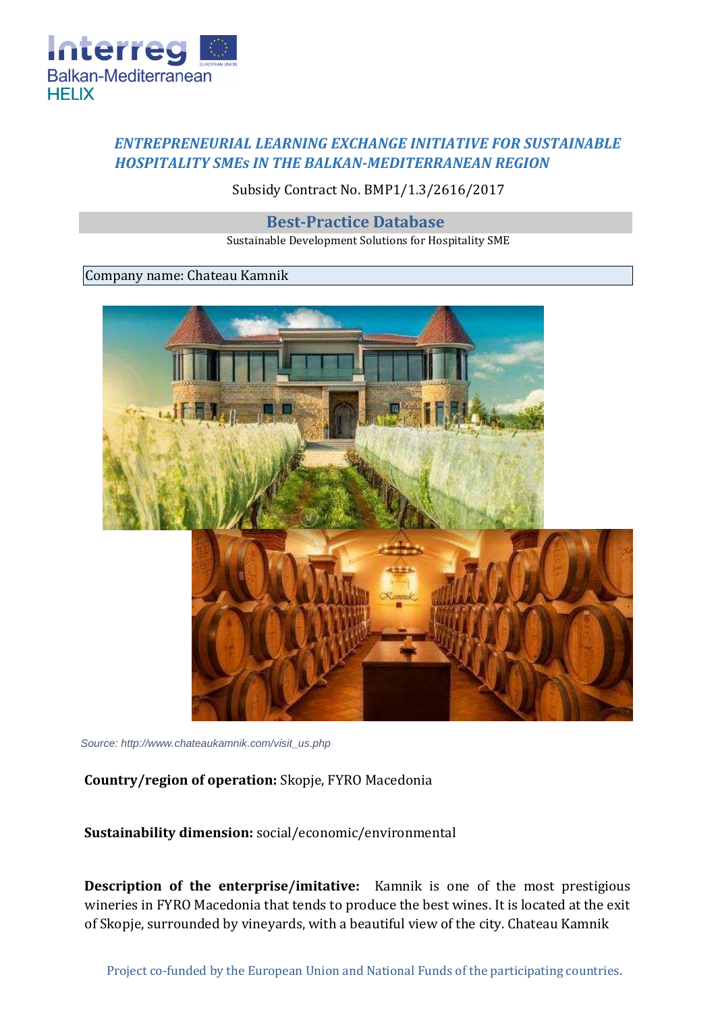

## *ENTREPRENEURIAL LEARNING EXCHANGE INITIATIVE FOR SUSTAINABLE HOSPITALITY SMEs IN THE BALKAN-MEDITERRANEAN REGION*

Subsidy Contract No. BMP1/1.3/2616/2017

**Best-Practice Database** 

Sustainable Development Solutions for Hospitality SME

## Company name: Chateau Kamnik



*Source: http://www.chateaukamnik.com/visit\_us.php*

## **Country/region of operation:** Skopje, FYRO Macedonia

**Sustainability dimension:** social/economic/environmental

**Description of the enterprise/imitative:** Kamnik is one of the most prestigious wineries in FYRO Macedonia that tends to produce the best wines. It is located at the exit of Skopje, surrounded by vineyards, with a beautiful view of the city. Chateau Kamnik

Project co-funded by the European Union and National Funds of the participating countries.